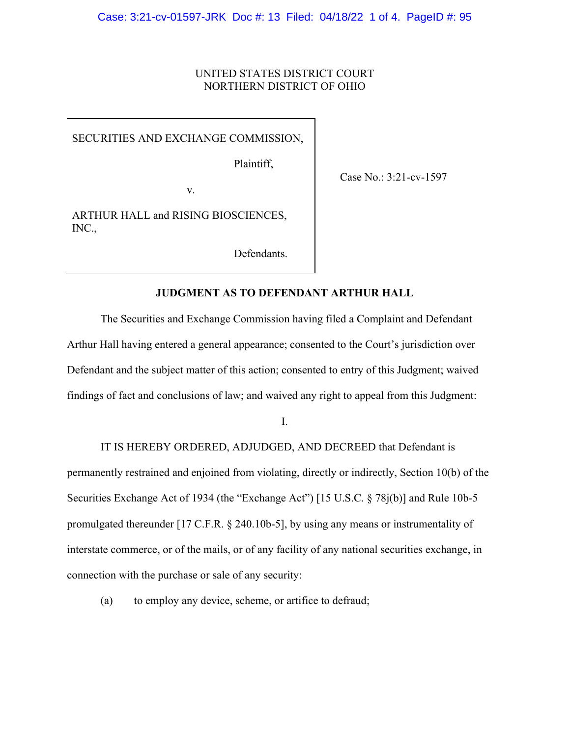# UNITED STATES DISTRICT COURT NORTHERN DISTRICT OF OHIO

SECURITIES AND EXCHANGE COMMISSION,

Plaintiff,

Case No.: 3:21-cv-1597

v.

ARTHUR HALL and RISING BIOSCIENCES, INC.,

Defendants.

# **JUDGMENT AS TO DEFENDANT ARTHUR HALL**

The Securities and Exchange Commission having filed a Complaint and Defendant Arthur Hall having entered a general appearance; consented to the Court's jurisdiction over Defendant and the subject matter of this action; consented to entry of this Judgment; waived findings of fact and conclusions of law; and waived any right to appeal from this Judgment:

I.

 IT IS HEREBY ORDERED, ADJUDGED, AND DECREED that Defendant is permanently restrained and enjoined from violating, directly or indirectly, Section 10(b) of the Securities Exchange Act of 1934 (the "Exchange Act") [15 U.S.C. § 78j(b)] and Rule 10b-5 promulgated thereunder [17 C.F.R. § 240.10b-5], by using any means or instrumentality of interstate commerce, or of the mails, or of any facility of any national securities exchange, in connection with the purchase or sale of any security:

(a) to employ any device, scheme, or artifice to defraud;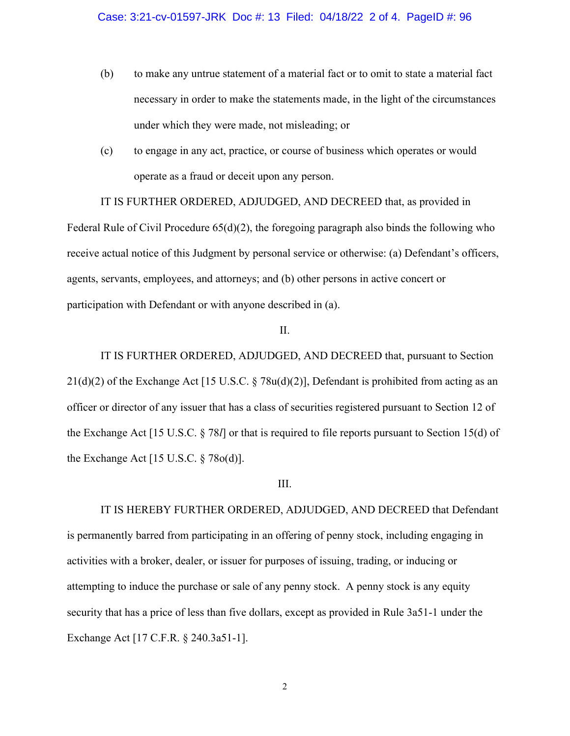- (b) to make any untrue statement of a material fact or to omit to state a material fact necessary in order to make the statements made, in the light of the circumstances under which they were made, not misleading; or
- (c) to engage in any act, practice, or course of business which operates or would operate as a fraud or deceit upon any person.

 IT IS FURTHER ORDERED, ADJUDGED, AND DECREED that, as provided in Federal Rule of Civil Procedure  $65(d)(2)$ , the foregoing paragraph also binds the following who receive actual notice of this Judgment by personal service or otherwise: (a) Defendant's officers, agents, servants, employees, and attorneys; and (b) other persons in active concert or participation with Defendant or with anyone described in (a).

### II.

 IT IS FURTHER ORDERED, ADJUDGED, AND DECREED that, pursuant to Section 21(d)(2) of the Exchange Act [15 U.S.C. § 78u(d)(2)], Defendant is prohibited from acting as an officer or director of any issuer that has a class of securities registered pursuant to Section 12 of the Exchange Act [15 U.S.C. § 78*l*] or that is required to file reports pursuant to Section 15(d) of the Exchange Act [15 U.S.C. § 78o(d)].

### III.

 IT IS HEREBY FURTHER ORDERED, ADJUDGED, AND DECREED that Defendant is permanently barred from participating in an offering of penny stock, including engaging in activities with a broker, dealer, or issuer for purposes of issuing, trading, or inducing or attempting to induce the purchase or sale of any penny stock. A penny stock is any equity security that has a price of less than five dollars, except as provided in Rule 3a51-1 under the Exchange Act [17 C.F.R. § 240.3a51-1].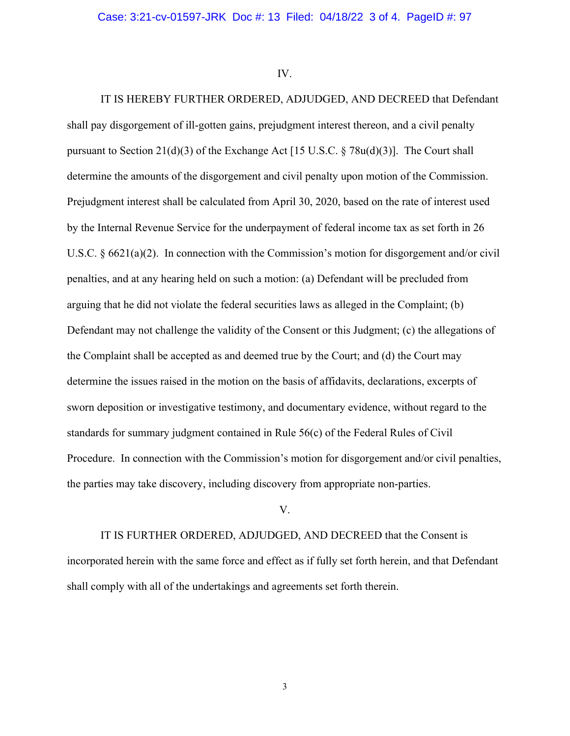IV.

IT IS HEREBY FURTHER ORDERED, ADJUDGED, AND DECREED that Defendant shall pay disgorgement of ill-gotten gains, prejudgment interest thereon, and a civil penalty pursuant to Section 21(d)(3) of the Exchange Act [15 U.S.C. § 78u(d)(3)]. The Court shall determine the amounts of the disgorgement and civil penalty upon motion of the Commission. Prejudgment interest shall be calculated from April 30, 2020, based on the rate of interest used by the Internal Revenue Service for the underpayment of federal income tax as set forth in 26 U.S.C. § 6621(a)(2). In connection with the Commission's motion for disgorgement and/or civil penalties, and at any hearing held on such a motion: (a) Defendant will be precluded from arguing that he did not violate the federal securities laws as alleged in the Complaint; (b) Defendant may not challenge the validity of the Consent or this Judgment; (c) the allegations of the Complaint shall be accepted as and deemed true by the Court; and (d) the Court may determine the issues raised in the motion on the basis of affidavits, declarations, excerpts of sworn deposition or investigative testimony, and documentary evidence, without regard to the standards for summary judgment contained in Rule 56(c) of the Federal Rules of Civil Procedure. In connection with the Commission's motion for disgorgement and/or civil penalties, the parties may take discovery, including discovery from appropriate non-parties.

#### V.

 IT IS FURTHER ORDERED, ADJUDGED, AND DECREED that the Consent is incorporated herein with the same force and effect as if fully set forth herein, and that Defendant shall comply with all of the undertakings and agreements set forth therein.